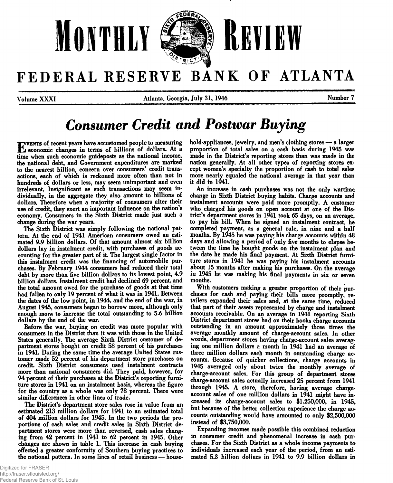

# FEDERAL RESERVE BANK OF ATLANTA

**Volume XXXI Atlanta, Georgia, July 31, 1946 Number 7**

# *Consumer Credit and Postwar Buying*

**EVENTS** of recent years have accustomed people to measuring<br>Leconomic changes in terms of billions of dollars. At a<br>time when such economic guidenosts as the national income. **v e n t s of recent years have accustomed people to measuring time when such economic guideposts as the national income, the national debt, and Government expenditures are marked to the nearest billion, concern over consumers' credit transactions, each of which is reckoned more often than not in hundreds of dollars or less, may seem unimportant and even irrelevant. Insignificant as such transactions may seem individually, in the aggregate they also amount to billions of dollars. Therefore when a majority of consumers alter their use of credit, they exert an important influence on the nation's economy. Consumers in the Sixth District made just such a change during the war years.**

**The Sixth District was simply following the national pattern. At the end of 1941 American consumers owed an estimated 9.9 billion dollars. Of that amount almost six billion dollars lay in instalment credit, with purchases of goods accounting for the greater part of it. The largest single factor in this instalment credit was the financing of automobile purchases. By February 1944 consumers had reduced their total debt by more than five billion dollars to its lowest point, 4.9 billion dollars. Instalment credit had declined 69 percent, and the total amount owed for the purchase of goods at that time had fallen to only 19 percent of what it was in 1941. Between the dates of the low point, in 1944, and the end of the war, in August 1945, consumers began to borrow more, although only enough more to increase the total outstanding to 5.6 billion dollars by the end of the war.**

**Before the war, buying on credit was more popular with consumers in the District than it was with those in the United States generally. The average Sixth District customer of department stores bought on credit 58 percent of his purchases in 1941. During the same time the average United States customer made 52 percent of his department store purchases on credit. Sixth District consumers used instalment contracts more than national consumers did. They paid, however, for 94 percent of their purchases at the District's reporting furniture stores in 1941 on an instalment basis, whereas the figure for the country as a whole was only 78 percent. There were similar differences in other lines of trade.**

**The District's department store sales rose in value from an estimated 213 million dollars for 1941 to an estimated total of 404 million dollars for 1945. In the two periods the proportions of cash sales and credit sales in Sixth District department stores were more than reversed, cash sales changing from 42 percent in 1941 to 62 percent in 1945. Other changes are shown in table 1. This increase in cash buying effected a greater conformity of Southern buying practices to the national pattern. In some lines of retail business — house-**

**hold-appliances, jewelry, and men's clothing stores — a larger proportion of total sales on a cash basis during 1945 was made in the District's reporting stores than was made in the nation generally. At all other types of reporting stores except women's specialty the proportion of cash to total sales more nearly equaled the national average in that year than it did in 1941.**

**An increase in cash purchases was not the only wartime change in Sixth District buying habits. Charge accounts and instalment accounts were paid more promptly. A customer who charged his goods on open account at one of die District's department stores in 1941 took 65 days, on an average, to pay his bill. When he signed an instalment contract, he completed payment, as a general rule, in nine and a half months. By 1945 he was paying his charge accounts within 48 days and allowing a period of only five months to elapse between the time he bought goods on the instalment plan and the date he made his final payment. At Sixth District furniture stores in 1941 he was paying his instalment accounts about 15 months after making his purchases. On the average in 1945 he was making his final payments in six or seven months.**

**With customers making a greater proportion of their purchases for cash and paying their bills more promptly, retailers expanded their sales and, at the same time, reduced that part of their assets represented by charge and instalment accounts receivable. On an average in 1941 reporting Sixth District department stores had on their books charge accounts outstanding in an amount approximately three times the average monthly amount of charge-account sales. In other words, department stores having charge-account sales averaging one million dollars a month in 1941 had an average of three million dollars each month in outstanding charge accounts. Because of quicker collections, charge accounts in 1945 averaged only about twice the monthly average of charge-account sales. For this group of department stores charge-account sales actually increased 25 percent from 1941 through 1945. A store, therefore, having average chargeaccount sales of one million dollars in 1941 might have increased its charge-account sales to \$1,250,000, in 1945, but because of the better collection experience the charge ao counts outstanding would have amounted to only \$2,500,000 instead of \$3,750,000.**

**Expanding incomes made possible this combined reduction in consumer credit and phenomenal increase in cash purchases. For the Sixth District as a whole income payments to individuals increased each year of the period, from an estimated 5.3 billion dollars in 1941 to 9.9 billion dollars in**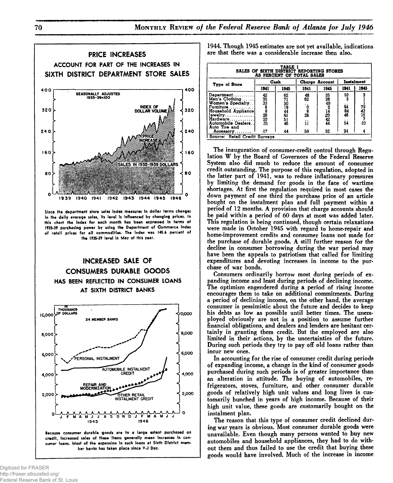

**Since the department store sales index measures in dollar terms changes in the daily average sales, its level is influenced by changing prices. In this chart the index for each month has been expressed in terms of 1935-39 purchasing power by using the Department of Commerce Index of retail prices for all commodities. The index was 145.6 percent of the 1935-39 level in May of this year.**



**credit, increased sales of these items generally mean increases in consumer loans. Most of the expansion in such loans at Sixth District member banks has taken place since V-J Day.**

| TABLE 1<br>SALES OF SIXTH DISTRICT REPORTING STORES<br>AS PERCENT OF TOTAL SALES |             |               |                |                       |                |                     |
|----------------------------------------------------------------------------------|-------------|---------------|----------------|-----------------------|----------------|---------------------|
| Type of Store                                                                    |             | Cash          |                | <b>Charge Account</b> |                | <b>Instalment</b>   |
|                                                                                  | 1941        | 1945          | 1941           | 1945                  | 1941           | 1945                |
| $Department \ldots \ldots$                                                       |             | 62            | $^{48}_{62}$   |                       | $\frac{10}{3}$ |                     |
| Men's Clothing                                                                   |             |               |                |                       |                |                     |
| Women's Specialty. .                                                             |             |               |                |                       |                |                     |
| Furniture                                                                        |             |               | $\frac{0}{26}$ |                       | 94<br>84<br>46 | 79<br>42<br>16<br>7 |
| Household Appliance                                                              |             |               |                |                       |                |                     |
| $I$ ewelry                                                                       |             |               |                |                       |                |                     |
| Hardware                                                                         |             |               |                |                       |                |                     |
| Automobile Dealers.                                                              | 42333682335 | 7150944615146 | ii             |                       | <br>S4         | -10                 |
| Auto Tire and                                                                    |             |               |                |                       |                |                     |
| Accessory                                                                        | 47          | 44            | 59             | 52                    | 24             |                     |

**The inauguration of consumer-credit control through Regulation W by the Board of Governors of the Federal Reserve System also did much to reduce the amount of consumer credit outstanding. The purpose of this regulation, adopted in the latter part of 1941, was to reduce inflationary pressures by limiting the demand for goods in the face of wartime shortages. At first the regulation required in most cases the down payment of one third the purchase price of an article bought on the instalment plan and full payment within a period of** 12 **months. A provision that charge accounts should be paid within a period of 60 days at most was added later. This regulation is being continued, though certain relaxations were made in October 1945 with regard to home-repair and home-improvement credits and consumer loans not made for the purchase of durable goods. A still further reason for the decline in consumer borrowing during the war period may have been the appeals to patriotism that called for limiting expenditures and devoting increases in income to the purchase of war bonds.**

**Consumers ordinarily borrow most during periods of expanding income and least during periods of declining income. The optimism engendered during a period of rising income encourages them to take on additional commitments. During a period of declining income, on the other hand, the average consumer is pessimistic about the future and decides to keep his debts as low as possible until better times. The unemployed obviously are not in a position to assume further financial obligations, and dealers and lenders are hesitant certainly in granting them credit. But the employed are also limited in their actions, by the uncertainties of the future. During such periods they try to pay off old loans rather than incur new ones.**

**In accounting for the rise of consumer credit during periods of expanding income, a change in the kind of consumer goods purchased during such periods is of greater importance than an alteration in attitude. The buying of automobiles, refrigerators, stoves, furniture, and other consumer durable goods of relatively high unit values and long lives is customarily bunched in years of high income. Because of their high unit value, these goods are customarily bought on the instalment plan.**

**The reason that this type of consumer credit declined during war years is obvious. Most consumer durable goods were unavailable. Even though many persons wanted to buy new automobiles and household appliances, they had to do without them and thus failed to use the credit that buying these goods would have involved. Much of the increase in income**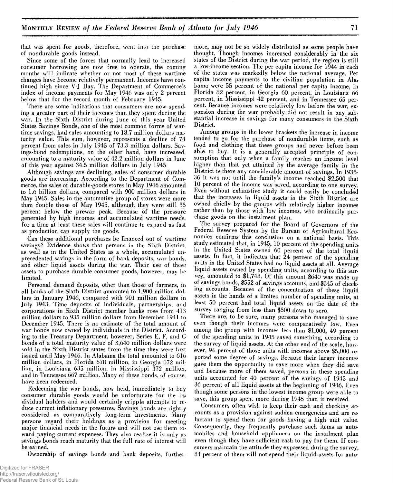**that was spent for goods, therefore, went into the purchase of nondurable goods instead.**

**Since some of the forces that normally lead to increased consumer borrowing are now free to operate, the coming months will indicate whether or not most of these wartime changes have become relatively permanent. Incomes have continued high since V-J Day. The Department of Commerce's index of income payments for May 1946 was only** 2 **percent below that for the record month of February 1945.**

**There are some indications that consumers are now spending a greater part of their incomes than they spent during the war. In the Sixth District during June of this year United States Savings Bonds, one of the most common forms of wartime savings, had sales amounting to 18.7 million dollars maturity value. This sum, however, represents a decline of 74 percent from sales in July 1945 of 73.3 million dollars. Savings-bond redemptions, on the other hand, have increased, amounting to a maturity value of 42.2 million dollars in June of this year against 34.5 million dollars in July 1945.**

**Although savings are declining, sales of consumer durable goods are increasing. According to the Department of Commerce, the sales of durable-goods stores in May 1946 amounted to 1.6 billion dollars, compared with 900 million dollars in May 1945. Sales in the automotive group of stores were more than double those of May 1945, although they were still 35 percent below the prewar peak. Because of the pressure generated by high incomes and accumulated wartime needs, for a time at least these sales will continue to expand as fast as production can supply the goods.**

**Can these additional purchases be financed out of wartime savings? Evidence shows that persons in the Sixth District, as well as in the United States as a whole, accumulated unprecedented savings in the form of bank deposits, war bonds, and other liquid assets during the war. Their use of these assets to purchase durable consumer goods, however, may be limited.**

**Personal demand deposits, other than those of farmers, in all banks of the Sixth District amounted to 1,900 million dollars in January 1946, compared with 901 million dollars in July 1943. Time deposits of individuals, partnerships, and corporations in Sixth District member banks rose from 413 million dollars to 935 million dollars from December 1941 to December 1945. There is no estimate of the total amount of war bonds now owned by individuals in the District. According to the Treasury Department, however, Series E, F, and G bonds of a total maturity value of 3,640 million dollars were sold in the Sixth District states from the time they were first issued until May 1946. In Alabama the total amounted to 616 million dollars, in Florida 678 million, in Georgia 672 million, in Louisiana 635 million, in Mississippi 372 million, and in Tennessee 667 million. Many of these bonds, of course, have been redeemed.**

**Redeeming the war bonds, now held, immediately to buy consumer durable goods would be unfortunate for the in\* dividual holders and would certainly cripple attempts to reduce current inflationary pressures. Savings bonds are rightly considered as comparatively long-term investments. Many persons regard their holdings as a provision for meeting major financial needs in the future and will not use them toward paying current expenses. They also realize it is only as savings bonds reach maturity that the full rate of interest will be earned.**

**Ownership of savings bonds and bank deposits, further-**

**more, may not be so widely distributed as some people have thought. Though incomes increased considerably in the six states of the District during the war period, the region is still a low-income section. The per capita income for 1944 in each of the states was markedly below the national average. Per capita income payments to the civilian population in Alar** bama were 55 percent of the national per capita income, in **Florida 82 percent, in Georgia 60 percent, in Louisiana** 66 **percent, in Mississippi 42 percent, and in Tennessee 65 percent. Because incomes were relatively low before the war, expansion during the war probably did not result in any substantial increase in savings for many consumers in the Sixth District.**

**Among groups in the lower brackets the increase in income tended to go for the purchase of nondurable items, such as food and clothing that these groups had never before been able to buy. It is a generally accepted principle of consumption that only when a family reaches an income level higher than that yet attained by the average family in the District is there any considerable amount of savings. In 1935- 36 it was not until the family's income reached \$2,500 that** 10 **percent of the income was saved, according to one survey. Even without exhaustive study it could easily be concluded that the increases in liquid assets in the Sixth District are owned chiefly by the groups with relatively higher incomes rather than by those with low incomes, who ordinarily purchase goods on the instalment plan.**

**^ The survey prepared for the Board of Governors of the Federal Reserve System by the Bureau of Agricultural Economics confirms this conclusion on a national basis. This study estimated that, in 1945, 10 percent of the spending units in the United States owned 60 percent of the total liquid assets. In fact, it indicates that 24 percent of the spending units in the United States had no liquid assets at all. Average liquid assets owned by spending units, according to this survey, amounted to \$1,748. Of this amount \$640 was made up of savings bonds, \$552 of savings accounts, and \$345 of checking accounts. Because of the concentration of these liquid assets in the hands of a limited number of spending units, at least 50 percent had total liquid assets on the date of the survey ranging from less than \$500 down to zero.**

**There are, to be sure, many persons who managed to save even though their incomes were comparatively low. Even among the group with incomes less than \$**1**,**000**,** 49 **percent of the spending units in 1945 saved something, according to the survey of liquid assets. At the other end of the scale, however, 94 percent of those units with incomes above \$5,000 reported some degree of savings. Because their larger incomes gave them the opportunity to save more when they did save and because more of them saved, persons in these spending units accounted for 40 percent of the savings of 1945 and 36 percent of all liquid assets at the beginning of 1946. Even though some persons in the lowest income group were able to save, this group spent more during 1945 than it received.**

**Consumers often wish to keep their cash and checking accounts as a provision against sudden emergencies and are reluctant to spend them for goods having a high unit value. Consequently, they frequently purchase such items as automobiles and household appliances on the instalment plan even though they have sufficient cash to pay for them. If consumers maintain the attitude they expressed during the survey, 84 percent of them will not spend their liquid assets for auto-**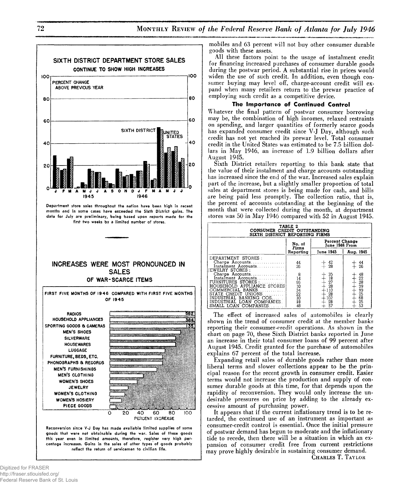

**Department store sales throughout the nation have been high in recent months and in some cases have exceeded the Sixth District gains. The data for July are preliminary, being based upon reports made for the first two weeks by a limited number of stores.**

### **INCREASES WERE MOST PRONOUNCED IN SALES OF WAR-SCARCE ITEMS**



**this year even in limited amounts, therefore, register very high percentage increases. Gains in the sales of other types of goods probably reflect the return of servicemen to civilian life.**

**mobiles and 63 percent will not buy other consumer durable goods with these assets.**

**All these factors point to the usage of instalment credit for financing increased purchases of consumer durable goods during the postwar period. A substantial rise in prices would widen the use of such credit. In addition, even though consumer buying may level off, charge-account credit will expand when many retailers return to the prewar practice of employing such credit as a competitive device.**

#### **The Importance of Continued Control**

**Whatever the final pattern of postwar consumer borrowing may be, the combination of high incomes, relaxed restraints on spending, and larger quantities of formerly scarce goods has expanded consumer credit since V-J Day, although such credit has not yet reached its prewar level. Total consumer credit in the United States was estimated to be 7.5 billion dollars in May 1946, an increase of 1.9 billion dollars after August 1945.**

**Sixth District retailers reporting to this bank state that the value of their instalment and charge accounts outstanding has increased since the end of the war. Increased sales explain part of the increase, but a slightly smaller proportion of total sales at department stores is being made for cash, and bills are being paid less promptly. The collection ratio, that is, the percent of accounts outstanding at the beginning of the month that were collected during the month, at department stores was 50 in May 1946 compared with 52 in August 1945.**

| TABLE 2<br>CONSUMER CREDIT OUTSTANDING<br>SIXTH DISTRICT REPORTING FIRMS                                         |                                                                  |                                          |                                   |  |
|------------------------------------------------------------------------------------------------------------------|------------------------------------------------------------------|------------------------------------------|-----------------------------------|--|
|                                                                                                                  | No. of<br>Firms                                                  | Percent Change<br>June 1946 From         |                                   |  |
|                                                                                                                  | Reporting                                                        | June 1945                                | Aug. 1945                         |  |
| DEPARTMENT STORES :<br>Charge Accounts<br>Instalment Accounts<br><b>IEWELRY STORES:</b>                          | 44<br>26                                                         | $+42$<br>$+.28$                          | 44<br>26                          |  |
| Charge Accounts<br>Instalment Accounts<br>FURNITURES STORES :<br>HOUSEHOLD APPLIANCE STORES!<br>COMMERCIAL BANKS | $\begin{smallmatrix} 8 \ 14 \end{smallmatrix}$<br>96<br>10<br>34 | 35<br>$+$ 35<br>$+27$<br>$+28$<br>$+110$ | 48<br>22<br>28<br>39              |  |
| STATE CREDIT UNIONS<br>INDUSTRIAL BANKING COS<br>INDUSTRIAL LOAN COMPANIES.<br>SMALL LOAN COMPANIES              | 22<br>10<br>18<br>48                                             | $+28$<br>$+102$<br>$+28$<br>$+57$        | $\frac{99}{25}$<br>68<br>25<br>53 |  |

**The effect of increased sales of automobiles is clearly shown in the trend of consumer credit at the member banks reporting their consumer-credit operations. As shown in the chart on page 70, these Sixth District banks reported in June an increase in their total consumer loans of 99 percent after August 1945. Credit granted for the purchase of automobiles explains 67 percent of the total increase.**

**Expanding retail sales of durable goods rather than more liberal terms and slower collections appear to be the principal reason for the recent growth in consumer credit. Easier terms would not increase the production and supply of consumer durable goods at this time, for that depends upon the rapidity of reconversion. They would only increase the undesirable pressures on price by adding to the already excessive amount of purchasing power.**

**It appears that if the current inflationary trend is to be retarded, the continued use of an instrument as important as consumer-credit control is essential. Once the initial pressure of postwar demand has begun to moderate and the inflationary tide to recede, then there will be a situation in which an expansion of consumer credit free from current restrictions may prove highly desirable in sustaining consumer demand. Charles T. Taylor**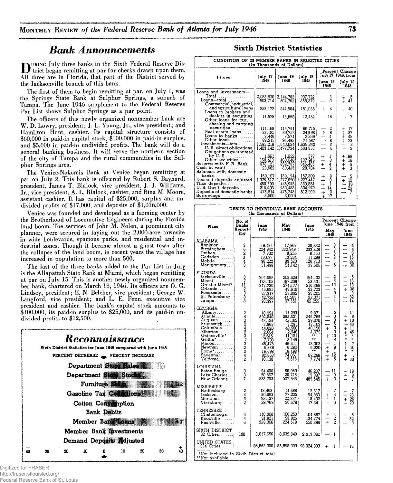## *Bank Announcements*

**THE URING July three banks in the Sixth Federal Reserve District began remitting at par for checks drawn upon them. All three are in Florida, that part of the District served by the Jacksonville branch of this bank.**

**The first of them to begin remitting at par, on July** 1**, was the Springs State Bank at Sulphur Springs, a suburb of Tampa. The June 1946 supplement to the Federal Reserve Par List shows Sulphur Springs as a par point.**

**The officers of this newly organized nonmember bank are W. D. Lowry, president; J. L. Young, Jr., vice president; and Hamilton Hunt, cashier. Its capital structure consists of \$60,000 in paid-in capital stock, \$**100,000 **in paid-in surplus, and \$5,000 in paid-in undivided profits. The bank will do a general banking business. It will serve the northern section of the city of Tampa and the rural communities in the Sulphur Springs area.**

**The Venice-Nokomis Bank at Venice began remitting at par on July** 2**. This bank is officered by Robert S. Baynard, president, James T. Blalock, vice president, J. J. Williams, Jr., vice president, A. L. Blalock, cashier, and Bina M. Moore, assistant cashier. It has capital of \$25,000, surplus and undivided profits of \$17,000, and deposits of \$1,076,000.**

**Venice was founded and developed as a farming center by the Brotherhood of Locomotive Engineers during the Florida land boom. The services of John M. Nolen, a prominent city planner, were secured in laying out the** 2**,**000**-acre townsite in wide boulevards, spacious parks, and residential and industrial zones. Though it became almost a ghost town after the collapse of the land boom, in recent years the village has increased in population to more than 500.**

**The last of the three banks added to the Par List in July is the Allapattah State Bank at Miami, which began remitting at par on July 15. This is another newly organized nonmember bank, chartered on March 18, 1946. Its officers are O. G. Lindsey, president; E. N. Belcher, vice president; George W. Langford, vice president; and L. E. Fenn, executive vice president and cashier. The bank's capital stock amounts to \$100,000, its paid-in surplus to \$25,000, and its paid-in undivided profits to \$12,500.**

|    |    |    |    | Reconnaissance         |    |                                                                 |                                                 |            |
|----|----|----|----|------------------------|----|-----------------------------------------------------------------|-------------------------------------------------|------------|
|    |    |    |    |                        |    | Sixth District Statistics for June 1946 compared with June 1945 |                                                 |            |
|    |    |    |    |                        |    | PERCENT DECREASE PERCENT INCREASE                               |                                                 |            |
|    |    |    |    |                        |    | Department <b>Store Sales</b>                                   |                                                 |            |
|    |    |    |    |                        |    | Department <b>Elione Stocks</b>                                 |                                                 |            |
|    |    |    |    | Furnitur William       |    |                                                                 |                                                 |            |
|    |    |    |    |                        |    |                                                                 | Gasoline Tax Callentinus ( William Casoline Tax |            |
|    |    |    |    | Cotton Communion       |    |                                                                 |                                                 |            |
|    |    |    |    | <b>Bank Webits</b>     |    |                                                                 |                                                 |            |
|    |    |    |    |                        |    | Member Bank Loans                                               |                                                 |            |
|    |    |    |    | Member Bank pvestments |    |                                                                 |                                                 |            |
|    |    |    |    | Demand Depart Mdjusted |    |                                                                 |                                                 |            |
| đ٨ | ۹n | 20 | 10 |                        | 10 | 20                                                              | 30                                              | $\vec{40}$ |
|    |    |    |    |                        |    |                                                                 |                                                 |            |

**Sixth District Statistics** 

|                                                                                                                                                 | CONDITION OF 20 MEMBER BANKS IN SELECTED CITIES<br>(In Thousands of Dollars) |                                                                 |                                                               |                                                                                                      |                                                                    |
|-------------------------------------------------------------------------------------------------------------------------------------------------|------------------------------------------------------------------------------|-----------------------------------------------------------------|---------------------------------------------------------------|------------------------------------------------------------------------------------------------------|--------------------------------------------------------------------|
| Item                                                                                                                                            | July 17                                                                      | June 19                                                         | July 18                                                       |                                                                                                      | Percent Change<br>July 17, 1946, from                              |
|                                                                                                                                                 | 1946                                                                         | 1946                                                            | 1945                                                          | June 19<br>1946                                                                                      | July $18$<br>1945                                                  |
| Loans and investments-<br>Total<br>$L$ oans-total $\ldots \ldots \ldots$<br>Commercial, industrial,                                             | 2,088,930<br>503,714                                                         | 2,144,785<br>504,761                                            | 1,997,722<br>358,379                                          | 3<br>$\mathbf{0}$                                                                                    | $\frac{5}{41}$<br>$^{+}_{+}$                                       |
| and agricultural loans<br>Loans to brokers and                                                                                                  | 253,172                                                                      | 244,564                                                         | 181,058                                                       | $+$<br>4                                                                                             | 40<br>$\div$                                                       |
| dealers in securities.<br>Other loans for pur.                                                                                                  | 11,528                                                                       | 13,668                                                          | 12,452                                                        | 16                                                                                                   | 7                                                                  |
| chasing and carrying<br>securities<br>Real estate loans<br>Loans to banks<br>Other loans<br>U. S. direct obligations.<br>Obligations guaranteed | 114.168<br>33,185<br>3,446<br>88,215<br>1,585,216<br>1,423,142               | 116,711<br>30,752<br>3.5711<br>95,495<br>1,640,024<br>1,477,724 | 66,715<br>24,198<br>2,369<br>71,587<br>1,639,343<br>1,500,850 | 284848<br>$\frac{1}{1}$<br>$\frac{1}{1}$                                                             | 17<br>$^{+}_{+}$<br>37<br>$+45$<br>$+$<br>23<br>3<br>-5<br>u.      |
| Other securities<br>Reserve with F. R. Bank<br>Cash in vault<br>Balances with domestic                                                          | 1,661<br>160.413<br>378,121<br>29,662                                        | 1,652<br>160,648<br>362,737<br>30,413                           | 577<br>137,916<br>345,405<br>28,704                           | J.<br>$+$<br>0<br>---<br>$\pm$<br>$\frac{4}{2}$                                                      | $+188$<br>16<br>$\begin{array}{c} + \ + \ + \end{array}$<br>9<br>3 |
| banks<br>Demand deposits adjusted 1,375,517<br>Time deposits<br>U.S. Gov't deposits<br>Deposits of domestic banks.<br>Borrowingst               | 150.107<br>450,599<br>215,203<br>478,514<br>3,500                            | 139,1941<br>1,377,620<br>445,915<br>250,453<br>478,245<br>3,000 | 157,309<br>1,227,417<br>380,551<br>304,970<br>512,900<br>.    | 8<br>$^{+}$<br>0<br>$+$<br>1<br>$\overline{14}$<br>$\overline{\phantom{0}}$<br>$+$<br>o<br>$+$<br>17 | 5<br>$+12$<br>-18<br>$+$<br>29<br>7<br>.                           |

|                                                                                                                                                                          | DEBITS TO INDIVIDUAL BANK ACCOUNTS<br>(In Thousands of Dollars) |                                                                                                                             |                                                                                                                  |                                                                                                                       |                                                                                 |                                                                                                                                           |  |  |
|--------------------------------------------------------------------------------------------------------------------------------------------------------------------------|-----------------------------------------------------------------|-----------------------------------------------------------------------------------------------------------------------------|------------------------------------------------------------------------------------------------------------------|-----------------------------------------------------------------------------------------------------------------------|---------------------------------------------------------------------------------|-------------------------------------------------------------------------------------------------------------------------------------------|--|--|
| Place                                                                                                                                                                    | No. of<br><b>Banks</b>                                          | June                                                                                                                        | May                                                                                                              | June                                                                                                                  | June 1946 from                                                                  | Percent Change                                                                                                                            |  |  |
|                                                                                                                                                                          | Report- <br>ing                                                 | 1946                                                                                                                        | 1946                                                                                                             | 1945                                                                                                                  | May<br>1946                                                                     | June<br>1945                                                                                                                              |  |  |
| ALABAMA<br>Anniston. 1<br>Birmingham<br>Dothan.<br>$G$ adsden $\dots\dots$<br>Mobile<br>Montgomer <b>y</b>                                                               | 3623<br>4<br>$\bar{3}$                                          | 19,434<br>224.942<br>7,802<br>13,022<br>98,222<br>51,498                                                                    | 17,967<br>232,949<br>$8,255$<br>$13,334$<br>$99,520$<br>54,142                                                   | 20,332<br>233,328<br>$\begin{array}{r} 8,560 \\ 11,288 \\ 126,713 \end{array}$<br>39,606                              | 83521<br>$\ddot{}$<br>$\frac{1}{1}$<br>5                                        | 4<br>4<br>ğ<br>15<br>$+$<br>$\frac{22}{30}$<br>$\frac{1}{+}$                                                                              |  |  |
| FLORIDA<br>Jacksonville<br>Miami<br>Greater Miami*<br>Orlando<br>Pensacola<br>St. Petersburg.<br>$\texttt{Tampa}\dots\dots\dots$                                         | $\begin{array}{c} 3 \\ 7 \\ 11 \end{array}$<br>ພພພ              | 204,092<br>173,105<br>247,730<br>46,685<br>27,317<br>42,722<br>93,397                                                       | 208,626<br>274,177<br>48,610<br>29,895<br>44,501<br>97,551                                                       | 194,132<br>153,431<br>210,399<br>33,723<br>28,205<br>32,371<br>82,255                                                 | $\frac{2}{8}$<br>10<br>4<br>9<br>4<br>4                                         | $\frac{5}{13}$<br>$\ddagger$<br>18<br>庄<br>38<br>$^{+}$<br>3 <sup>3</sup><br>Щ.<br>14<br>$\ddot{}$                                        |  |  |
| <b>GEORGIA</b><br>Albany<br>Atlanta<br>Augusta.<br>Brunswick<br>Columbus<br>Elberton<br>Gainesville*<br>Griffin*<br>$Macon$<br>Newnan<br>Rome*<br>Savannah<br>$Valdosta$ | 2432423232342                                                   | 10,991<br>592,540<br>43,151<br>7,865<br>44,620<br>2,861<br>12,615<br>7,793<br>46,175<br>6,839<br>16,698<br>82,853<br>10.138 | 11,290<br>595,321<br>43,165<br>8,291<br>43,500<br>2,946<br>11,151<br>8.149<br>46,411<br>6,283<br>74.063<br>9,618 | 9,871<br>546,769<br>39,370<br>13,162<br>40,150<br>1,972<br>$\pi$ $\pi$<br>$\pm$<br>43,303<br>6,230<br>82,298<br>7,774 | waanoon<br>a<br>$-+ - + - + +$<br>4<br>$\mathbf{1}$<br>9<br>ı<br>12<br>5<br>, + | 11<br>$\mathrm{+}$<br>┿<br>8<br>10<br>$+$<br>40<br>$+$<br>M<br>45<br>×<br>$\bullet$<br>$\star$<br>7<br>$+$<br>10<br>ı<br>$\ddagger$<br>30 |  |  |
| LOUISIANA<br>Baton Rouge<br>Lake Charles<br>New Orleans                                                                                                                  | 3<br>3<br>7                                                     | 54,406<br>20,667<br>523,703                                                                                                 | 60,959<br>20,716<br>507,946                                                                                      | 46,237<br>19,087<br>489,545                                                                                           | 11<br>0<br>š.<br>$\ddot{}$                                                      | 18<br>$\,{}^+$<br>8<br>7<br>$\ddagger$                                                                                                    |  |  |
| MISSISSIPPI<br>Hattiesburg<br>Tackson<br>Meridian.<br>Vicksburg!                                                                                                         | $\begin{array}{c}\n2 \\ 4 \\ 3\n\end{array}$                    | 13,493<br>80,093<br>23,137<br>28,769                                                                                        | 14,488<br>77,035<br>22,884<br>20,678                                                                             | 12,617<br>64,963<br>18,432<br>17,341                                                                                  | 7<br>4<br>$^{+}$<br>$\dot{+}$<br>1<br>0<br>$+$                                  | $\pm$<br>23<br>$+$<br>+<br>+<br>26<br>20                                                                                                  |  |  |
| TENNESSEE<br>Chattanooga<br>Knoxville<br>Nashville                                                                                                                       | 4<br>4<br>ĥ                                                     | 110,960<br>91,821<br>228,366                                                                                                | 106,253<br>93,925<br>224,518                                                                                     | 104,867<br>134,774<br>250,386                                                                                         | $\frac{4}{2}$<br>┿<br>$+$                                                       | 6<br>┍╇<br>32<br>9                                                                                                                        |  |  |
| SIXTH DISTRICT<br>32 Cities                                                                                                                                              | 108                                                             | 3,017,656                                                                                                                   | 3,032,848                                                                                                        | 2,913,092                                                                                                             | ı                                                                               | 4<br>$\div$                                                                                                                               |  |  |
| UNITED STATES<br>33 <b>4 Cities</b>                                                                                                                                      |                                                                 | $\mathbf{I}$                                                                                                                | 86,663,000 85,898,000 98,024,000                                                                                 |                                                                                                                       | ı<br>$\div$                                                                     | 12                                                                                                                                        |  |  |
| *Not included in Sixth District total<br>**Not available                                                                                                                 |                                                                 |                                                                                                                             |                                                                                                                  |                                                                                                                       |                                                                                 |                                                                                                                                           |  |  |

Digitized for FRASER http://fraser.stlouisfed.org/ Federal Reserve Bank of St. Louis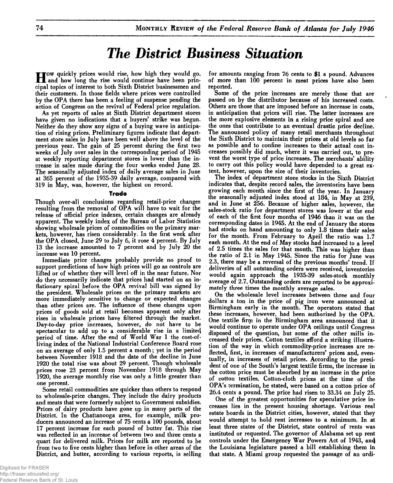# **The District Business Situation**

H **ow quickly prices would rise, how high they would go, and how long the rise would continue have been principal topics of interest to both Sixth District businessmen and their customers. In those fields where prices were controlled by the OPA there has been a feeling of suspense pending the action of Congress on the revival of Federal price regulation.**

**As yet reports of sales at Sixth District department stores have given no indications that a buyers' strike was begun. Neither do they show any signs of a buying wave in anticipation of rising prices. Preliminary figures indicate that department store sales in July have been well above the level of the previous year. The gain of 25 percent during the first two weeks of July over sales in the corresponding period of 1945 at weekly reporting department stores is lower than the increase in sales made during the four weeks ended June 28. The seasonally adjusted index of daily average sales in June at 365 percent of the 1935-39 daily average, compared with 319 in May, was, however, the highest on record.**

#### **Trade**

**Though over-all conclusions regarding retail-price changes resulting from the removal of OPA will have to wait for the release of official price indexes, certain changes are already apparent. The weekly index of the Bureau of Labor Statistics showing wholesale prices of commodities on the primary markets, however, has risen considerably. In the first week after the OPA closed, June 29 to July** 6**, it rose 4 percent. By July 13 the increase amounted to 7 percent and by July 20 the increase was** 10 **percent.**

**Immediate price changes probably provide no proof to support predictions of how high prices will go as controls are lifted or of whether they will level off in the near future. Nor do they necessarily indicate that prices had started on an inflationary spiral before the OPA revival bill was signed by the president. Wholesale prices on the primary markets are more immediately sensitive to change or expected changes than other prices are. The influence of these changes upon prices of goods sold at retail becomes apparent only after rises in wholesale prices have filtered through the market. Day-to-day price increases, however, do not have to be spectacular to add up to a considerable rise in a limite**4 **period of time. After the end of World War 1 the cost-ofliving index of the National Industrial Conference Board rose on an average of only 1.5 percent a month; yet in the period between November 1918 and the date of the decline in June 1920 the total rise was about 29 percent. Though wholesale prices rose 23 percent from November 1918 through May 1920, the average monthly rise was only a little greater than one percent.**

**Some retail commodities are quicker than others to respond to wholesale-price changes. They include the dairy products and meats that were formerly subject to Government subsidies. Prices of dairy products have gone up in many parts of the District. In the Chattanooga area, for example, milk producers announced an increase of 75 cents a 100 pounds, about 17 percent increase for each pound of butter fat. This rise was reflected in an increase of between two and three cents a quart for delivered milk. Prices for milk are reported to be from two to five cents higher than before in other areas of the District, and butter, according to various reports, is selling** **for amounts ranging from 76 cents to \$1 a pound. Advances of more than** 100 **percent in meat prices have also been reported.**

**Some of the price increases are merely those that are passed on by the distributor because of his increased costs. Others are those that are imposed before an increase in costs, in anticipation that prices will rise. The latter increases are the more explosive elements in a rising price spiral and are the ones that contribute to an eventual drastic price decline. The announced policy of many retail merchants throughout the Sixth District to maintain their prices at old levels so far as possible and to confine increases to their actual cost increases possibly did much, where it was carried out, to prevent the worst type of price increases. The merchants' ability to carry out this policy would have depended to a great extent, however, upon the size of their inventories.**

**The index of department store stocks in the Sixth District indicates that, despite record sales, the inventories have been growing each month since the first of the year. In January the seasonally adjusted index stood at 184, in May at 239, and in June at 256. Because of higher sales, however, the sales-stock ratio for department stores was lower at the end of each of the first four months of 1946 than it was on the corresponding dates in 1945. At the end of January the stores had stocks on hand amounting to only** 1.8 **times their sales for the month. From February to April the ratio was** 1.7 **each month. At the end of May stocks had increased to a level of 2.5 times the sales for that month. This was higher than the ratio of** 2.1 **in May 1945. Since the ratio for June was 2.3, there may be a reversal of the previous months' trend. If deliveries of all outstanding orders were received, inventories would again approach the 1935-39 sales-stock monthly average of 2.7. Outstanding orders are reported to be approximately three times the monthly average sales.**

**On the wholesale level increases between three and four dollars a ton in the price of pig iron were announced at Birmingham early in the month. The operators stated that these increases, however, had been authorized by the OPA. One textile firm in the Birmingham area announced that it would continue to operate under OPA ceilings until Congress disposed of the question, but some of the other mills increased their prices. Cotton textiles afford a striking illustration of the way in which commodity-price increases are reflected, first, in increases of manufacturers' prices and, eventually, in increases of retail prices. According to the president of one of the South's largest textile firms, the increase in the cotton price must be absorbed by an increase in the price of cotton textiles. Cotton-cloth prices at the time of the OPA's termination, he stated, were based on a cotton price of 26.4 cents a pound. The price had risen to 33.34 on July 25.**

**One of the greatest opportunities for speculative price increases lies in the present housing shortage. Various real estate boards in the District cities, however, stated that they would attempt to hold rent increases to a minimum. In at least three states of the District, state control of rents was instituted or requested. The governor of Alabama set up rent controls under the Emergency War Powers Act of 1943, ancj the Louisiana legislature passed a bill establishing them in that state. A Miami group requested the passage of an ordi-**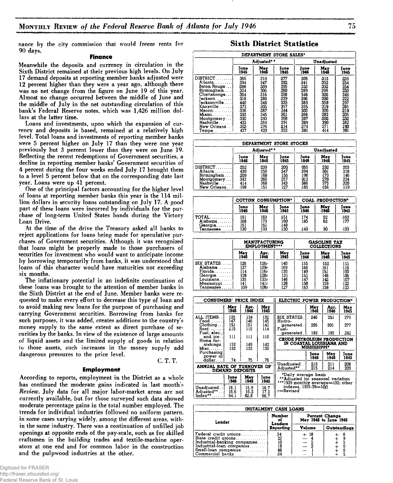**nance by the city commission that would freeze rents for 90 days.**

#### **Finance**

**Meanwhile the deposits and currency in circulation in the Sixth District remained at their previous high levels. On July 17 demand deposits at reporting member banks adjusted were** 12 **percent higher than they were a year ago, although there was no net change from the figure on June 19 of this year. Almost no change occurred between the middle of June and the middle of July in the net outstanding circulation of this bank's Federal Reserve notes, which was 1,426 million dollars at the latter time.**

**Loans and investments, upon which the expansion of currency and deposits is based, remained at a relatively high level. Total loans and investments of reporting member banks were 5 percent higher on July 17 than they were one year previously but 3 percent lower than they were on June 19. Reflecting the recent redemptions of Government securities, a decline in reporting member banks' Government securities of 4 percent during the four weeks ended July 17 brought them to a level 5 percent below that on the corresponding date last year. Loans were up 41 percent.**

**One of the principal factors accounting for the higher level of loans at reporting member banks this year is the 114 million dollars in security loans outstanding on July 17. A good part of these loans were incurred by individuals for the purchase of long-term United States bonds during the Victory Loan Drive.**

**At the time of the drive the Treasury asked all banks to reject applications for loans being made for speculative purchases of Government securities. Although it was recognized that loans might be properly made to those purchasers of securities for investment who would want to anticipate income by borrowing temporarily from banks, it was understood that loans of this character would have maturities not exceeding six months.**

**The inflationary potential in an indefinite continuation of these loans was brought to the attention of member banks in the Sixth District at the end of June. Member banks were requested to make every effort to decrease this type of loan and to avoid making new loans for the purpose of purchasing and carrying Government securities. Borrowing from banks for such purposes, it was added, creates additions to the country's money supply to the same extent as direct purchase of securities by the banks. In view of the existence of large amounts of liquid assets and the limited supply of goods in relation to those assets, such increases in the money supply add dangerous pressures to the price level. C. T. T.**

#### **Employment**

**According to reports, employment in the District as a whole has continued the moderate gains indicated in last month's** *Review***. July data for all major labor-market areas are not currently available, but for those surveyed such data showed moderate percentage gains in the total number employed. The trends for individual industries followed no uniform pattern, in some cases varying widely, among the different areas, within the same industry. There was a continuation of unfilled job openings at opposite ends of the pay-scale, such as for skilled craftsmen in the building trades and textile-machine operators at one end and for common labor in the construction** and the pulpwood industries at the other.

### **Sixth District Statistics**

| DEPARTMENT STORE SALES* |            |      |      |      |            |      |  |
|-------------------------|------------|------|------|------|------------|------|--|
|                         | Adjusted** |      |      |      | Unadjusted |      |  |
|                         | June       | Mav  | īune | June | May        | June |  |
|                         | 1946       | 1946 | 1945 | 1946 | 1946       | 1945 |  |
| $DISTRICT$              | 365        | 319  | 277  | 306  | 313        | 233  |  |
| Atlanta.                | 394        | 347  | 292  | 341  | 352        | 254  |  |
| Baton Rouge             | 1388       | 309  | 295  | 333  | 332        | 254  |  |
| Birmingham              | 324        | 305  | 260  | 289  | 299        | 233  |  |
| Chattanooga             | 364        | 316  | 258  | 348  | 326        | 246  |  |
| ackson.                 | 318        | 288  | 239  | 296  | 300        | 222  |  |
| acksonville             | 440        | 348  | 335  | 389  | 359        | 297  |  |
| KnoxvilleI              | 372        | 305  | 317  | 335  | 319        | 285  |  |
| Macon.                  | 336        | 287  | 244  | 303  | 300        | 219  |  |
| Miami                   | 393        | 345  | 301  | 268  | 283        | 205  |  |
| Montgomery              | 332        | 293  | 268  | 287  | 302        | 232  |  |
| Nashville               | 433        | 364  | 291  | 389  | 390        | 262  |  |
| New Orleans.            | 303        | 276  | 214  | 274  | 271        | 193  |  |
| Tampa                   | 437        | 429  | 322  | 381  | 414        | 281  |  |

| DEPARTMENT STORE STOCKS                                                         |                                               |                                        |                                        |                                         |                                        |                                               |
|---------------------------------------------------------------------------------|-----------------------------------------------|----------------------------------------|----------------------------------------|-----------------------------------------|----------------------------------------|-----------------------------------------------|
|                                                                                 |                                               | Adjusted**                             |                                        | <b>Unadiusted</b>                       |                                        |                                               |
|                                                                                 | lune<br>1946                                  | May<br>1946                            | lune<br>1945                           | June<br>1946                            | May<br>1946                            | lune<br>1945                                  |
| $DISTRICT$<br>Atlanta.<br>Birmingham<br>Montgomery<br>Nashville<br>New Orleans. | 252<br>430<br>209<br>343<br>$\frac{414}{198}$ | 239<br>356<br>168<br>266<br>368<br>151 | 200<br>347<br>155<br>257<br>343<br>127 | 255<br>394<br>196<br>313<br>386<br>-185 | 232<br>361<br>173<br>270<br>373<br>156 | 203<br>318<br>318<br>146<br>234<br>320<br>119 |

|                                 | <b>COTTON CONSUMPTION*</b> |                    |                   | COAL PRODUCTION* |                 |              |
|---------------------------------|----------------------------|--------------------|-------------------|------------------|-----------------|--------------|
|                                 | June<br>1946               | <b>May</b><br>1946 | June<br>1945      | June<br>1946     | May<br>1946     | June<br>1945 |
| $TOTAL$<br>Alabama<br>$Georgia$ | 161<br>168<br>161          | 163<br>173<br>161  | 451<br>160<br>148 | 174<br>185       | $\frac{52}{62}$ | 463<br>177   |
| Tennessee                       | 130                        | 133                | 130               | 449              | 30              | 133          |

|                                                                      | <b>MANUFACTURING</b><br><b>EMPLOYMENT***</b> |                                      |                                 |                                 | <b>GASOLINE TAX</b><br><b>COLLECTIONS</b> |                                 |
|----------------------------------------------------------------------|----------------------------------------------|--------------------------------------|---------------------------------|---------------------------------|-------------------------------------------|---------------------------------|
|                                                                      | May                                          | Apr,                                 | May                             | June                            | Mav                                       | lune                            |
|                                                                      | 1946                                         | 1946                                 | 1945                            | 1946                            | 1946                                      | 1945                            |
| SIX STATES<br>Alabam <b>a</b> .<br>Florida.<br>Georgia<br>Louisiana. | 126<br>137<br>114<br>I28<br>135              | 126г<br>139r<br>116r<br>128r<br>133r | 140<br>169<br>130<br>131<br>146 | 155<br>166<br>149<br>151<br>147 | 152<br>161<br>151<br>146<br>142<br>159    | 111<br>116<br>100<br>106<br>107 |
| Mississippi                                                          | 141                                          | 141r                                 | 128                             | 158                             | 158                                       | 122                             |
| Tennessee                                                            | 109                                          | 108r                                 | 127                             | 163                             |                                           | 123                             |

| CONSUMERS' PRICE INDEX                                   |                        |                      |                      | ELECTRIC POWER PRODUCTION*                                                                      |                     |              |              |
|----------------------------------------------------------|------------------------|----------------------|----------------------|-------------------------------------------------------------------------------------------------|---------------------|--------------|--------------|
|                                                          | May<br>1946            | Apr.<br>1946         | May<br>1945          |                                                                                                 | Mav<br>1946         | Apr.<br>1946 | Mav<br>1945  |
| ALL ITEMS. .<br>$Food \dots \dots$                       | 135<br>147             | 134<br>146           | 132<br>145           | SIX STATES.<br>Hydro-                                                                           | 246                 | 251          | 279          |
| Chothing<br>Rent.                                        | 151<br>115             | 151<br>115           | 141<br>114           | generated.<br>Fuel-                                                                             | 295                 | 301          | 277          |
| Fuel, elec., i                                           |                        |                      |                      | generated.                                                                                      | 182                 | 185          | 282          |
| and $ice.$ .<br>Home fur-<br>nishings.<br>$Misc. \ldots$ | 111<br>152<br>132      | 111<br>149<br>132    | 110<br>142<br>130    | CRUDE PETROLEUM PRODUCTION<br>IN COASTAL LOUISIANA AND                                          | <b>MISSISSIPPI*</b> |              |              |
| Purchasing<br>power of<br>dollar                         | .74                    | . 75                 | .76                  |                                                                                                 | June<br>1946        | Mav<br>1946  | June<br>1945 |
| ANNUAL RATE OF TURNOVER OF                               | <b>DEMAND DEPOSITS</b> |                      |                      | Unadjusted<br>Adjusted**                                                                        | 213<br>215          | 211<br>214   | 208<br>209   |
|                                                          | June<br>1946           | Mav<br>1946          | June<br>1945         | *Daily average basis<br>**Adjusted for seasonal variation<br>***1939 monthly average=100; other |                     |              |              |
| Unadjusted. .<br>Adiusted**<br>Index**                   | 16.1<br>16.6<br>64.1   | 15.9<br>16.2<br>62.8 | 16.7<br>17.2<br>66.7 | indexes, 1935-39—100<br>r=Revised                                                               |                     |              |              |

| <b>INSTALMENT CASH LOANS</b>                                                                                                      |                                                             |                   |              |  |  |
|-----------------------------------------------------------------------------------------------------------------------------------|-------------------------------------------------------------|-------------------|--------------|--|--|
| Number<br>Percent Change<br>May 1946 to June 1946<br>oi<br>Lender<br>Lenders                                                      |                                                             |                   |              |  |  |
|                                                                                                                                   | Reporting                                                   | Volume            | Outstandings |  |  |
| Federal credit unions<br>State credit unions<br>Industrial-banking companies<br>Industrial-loan companies<br>Small-loan companies | $\frac{34}{22}$<br>$\frac{10}{18}$<br>$\frac{18}{48}$<br>34 | $+18$<br>$\cdots$ |              |  |  |